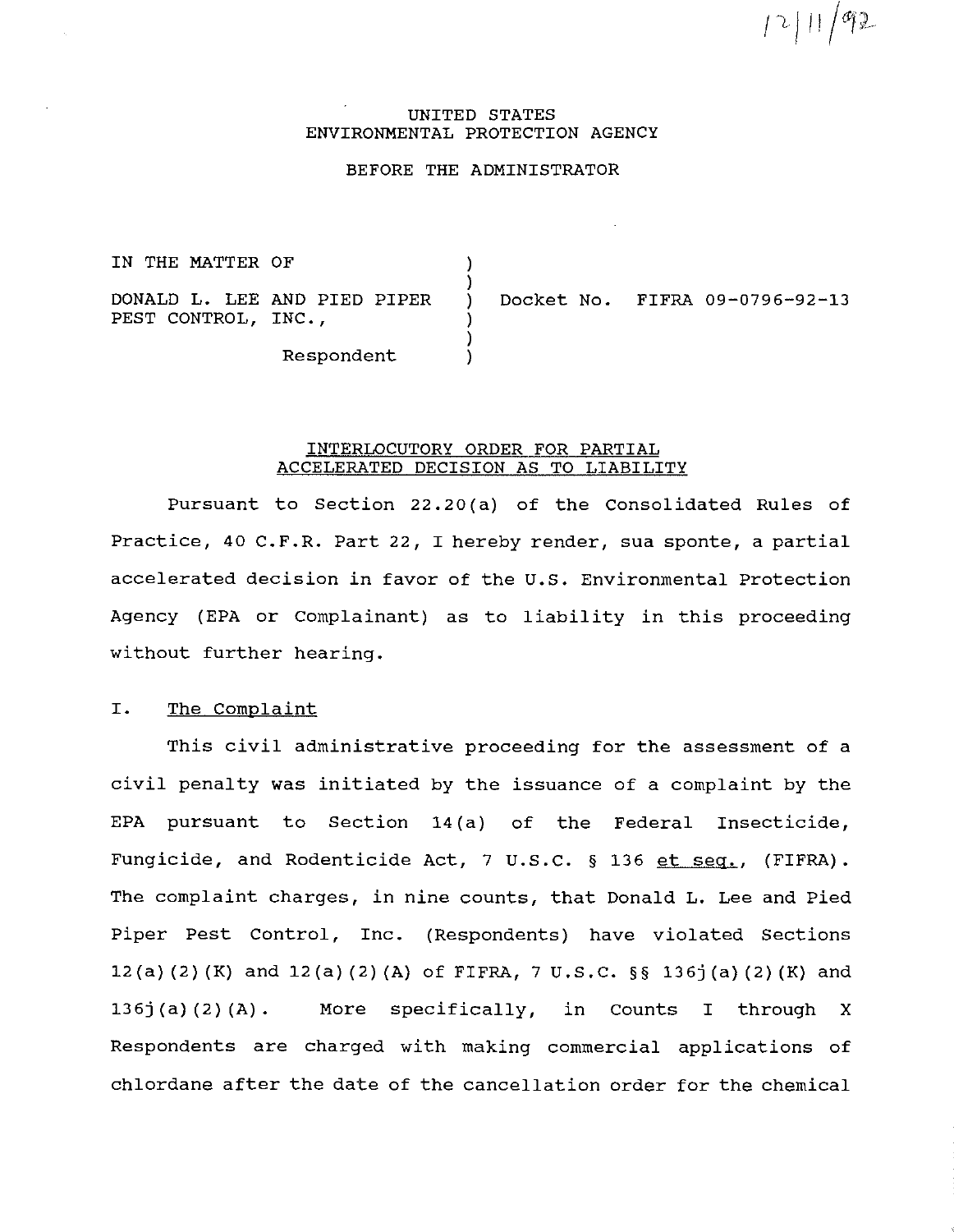p )11/lfJi-

#### UNITED STATES ENVIRONMENTAL PROTECTION AGENCY

### BEFORE THE ADMINISTRATOR

) )

> ) )

IN THE MATTER OF

DONALD L. LEE AND PIED PIPER PEST CONTROL, INC.,

) Docket No. FIFRA 09-0796-92-13

Respondent )

#### INTERLOCUTORY ORDER FOR PARTIAL ACCELERATED DECISION AS TO LIABILITY

Pursuant to Section 22.20 (a) of the Consolidated Rules of Practice, 40 C.F.R. Part 22, I hereby render, sua sponte, a partial accelerated decision in favor of the u.s. Environmental Protection Agency (EPA or Complainant) as to liability in this proceeding without further hearing.

# I. The Complaint

This civil administrative proceeding for the assessment of a civil penalty was initiated by the issuance of a complaint by the EPA pursuant to Section 14(a) of the Federal Insecticide, Fungicide, and Rodenticide Act, 7 U.S.C. § 136 et seq., (FIFRA). The complaint charges, in nine counts, that Donald L. Lee and Pied Piper Pest Control, Inc. (Respondents) have violated Sections 12(a) (2) (K) and 12(a) (2) (A) of FIFRA, 7 u.s.c. §§ 136j (a) (2) (K) and 136j (a) (2) (A). More specifically, in Counts I through X Respondents are charged with making commercial applications of chlordane after the date of the cancellation order for the chemical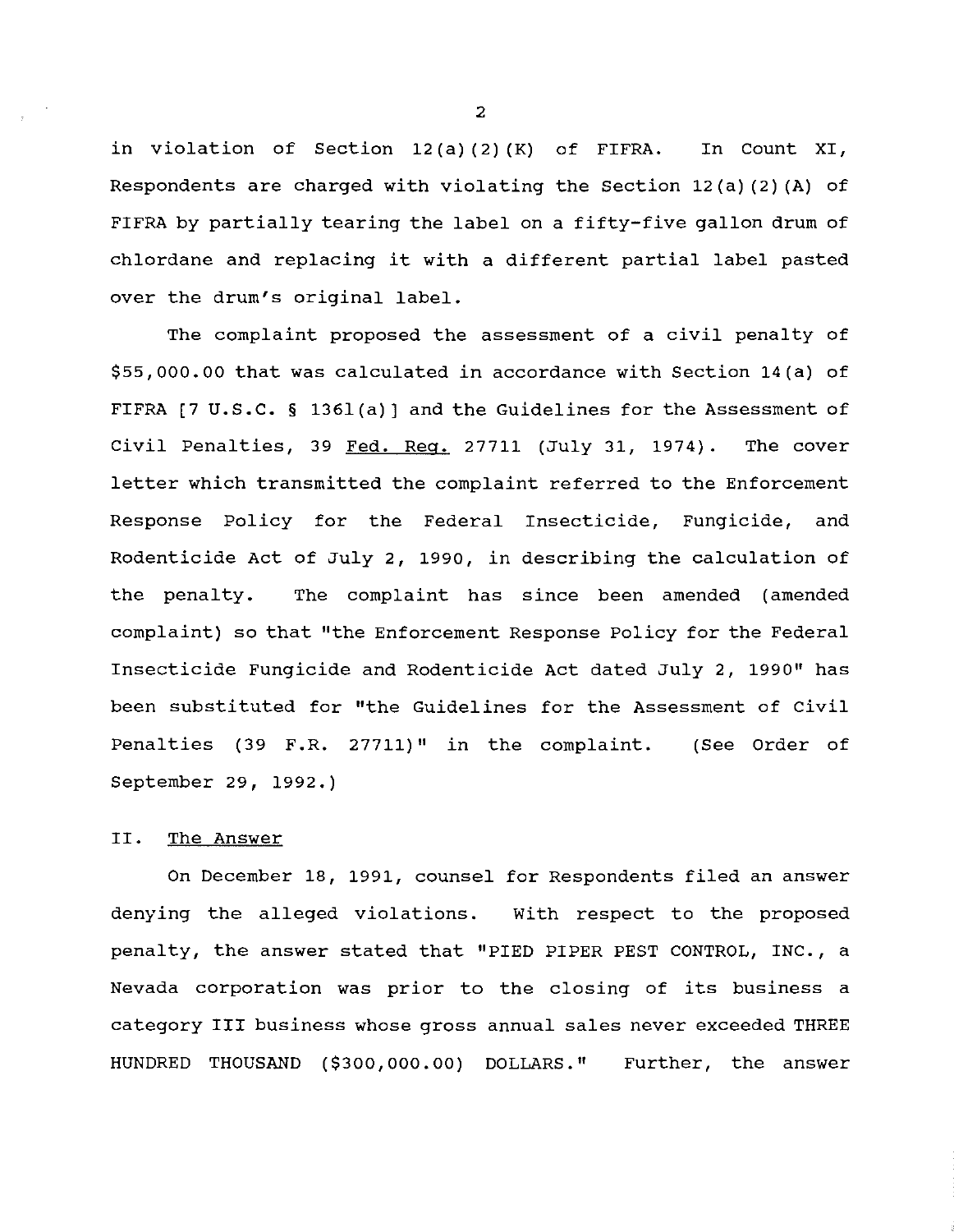in violation of Section 12 (a) (2) (K) of FIFRA. In Count XI, Respondents are charged with violating the Section 12(a)(2) (A) of FIFRA by partially tearing the label on a fifty-five gallon drum of chlordane and replacing it with a different partial label pasted over the drum's original label.

The complaint proposed the assessment of a civil penalty of \$55,000.00 that was calculated in accordance with Section 14(a) of FIFRA [7 u.s.c. § 136l(a)] and the Guidelines for the Assessment of Civil Penalties, 39 Fed. Req. 27711 (July 31, 1974). The cover letter which transmitted the complaint referred to the Enforcement Response Policy for the Federal Insecticide, Fungicide, and Rodenticide Act of July 2, 1990, in describing the calculation of the penalty. The complaint has since been amended (amended complaint) so that "the Enforcement Response Policy for the Federal Insecticide Fungicide and Rodenticide Act dated July 2, 1990" has been substituted for "the Guidelines for the Assessment of Civil Penalties (39 F.R. 27711)" in the complaint. (See Order of September 29, 1992.)

# II. The Answer

On December 18, 1991, counsel for Respondents filed an answer denying the alleged violations. With respect to the proposed penalty, the answer stated that "PIED PIPER PEST CONTROL, INC., a Nevada corporation was prior to the closing of its business a category III business whose gross annual sales never exceeded THREE HUNDRED THOUSAND (\$300,000.00) DOLLARS." Further, the answer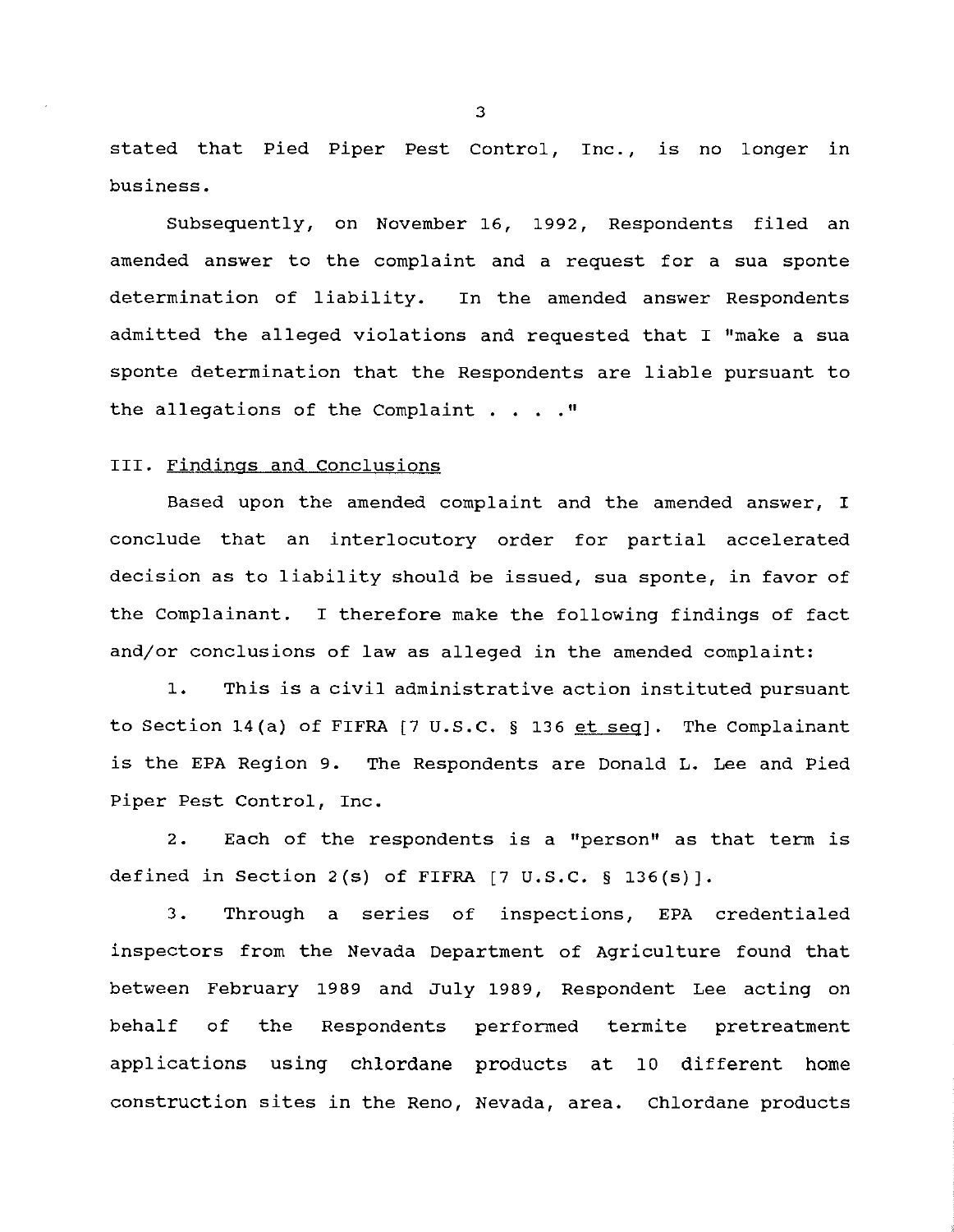stated that Pied Piper Pest Control, Inc., is no longer in business.

Subsequently, on November 16, 1992, Respondents filed an amended answer to the complaint and a request for a sua sponte determination of liability. In the amended answer Respondents admitted the alleged violations and requested that I "make a sua sponte determination that the Respondents are liable pursuant to the allegations of the Complaint  $\ldots$ ."

#### III. Findings and Conclusions

Based upon the amended complaint and the amended answer, I conclude that an interlocutory order for partial accelerated decision as to liability should be issued, sua sponte, in favor of the Complainant. I therefore make the following findings of fact and/or conclusions of law as alleged in the amended complaint:

1. This is a civil administrative action instituted pursuant to Section 14(a) of FIFRA [7 U.S.C. § 136 et seq]. The Complainant is the EPA Region 9. The Respondents are Donald L. Lee and Pied Piper Pest Control, Inc.

2. Each of the respondents is a "person" as that term is defined in Section 2(s) of FIFRA  $[7 \text{ U.S.C. } § 136(s)]$ .

3. Through a series of inspections, EPA credentialed inspectors from the Nevada Department of Agriculture found that between February 1989 and July 1989, Respondent Lee acting on behalf of the Respondents performed termite pretreatment applications using chlordane products at 10 different home construction sites in the Reno, Nevada, area. Chlordane products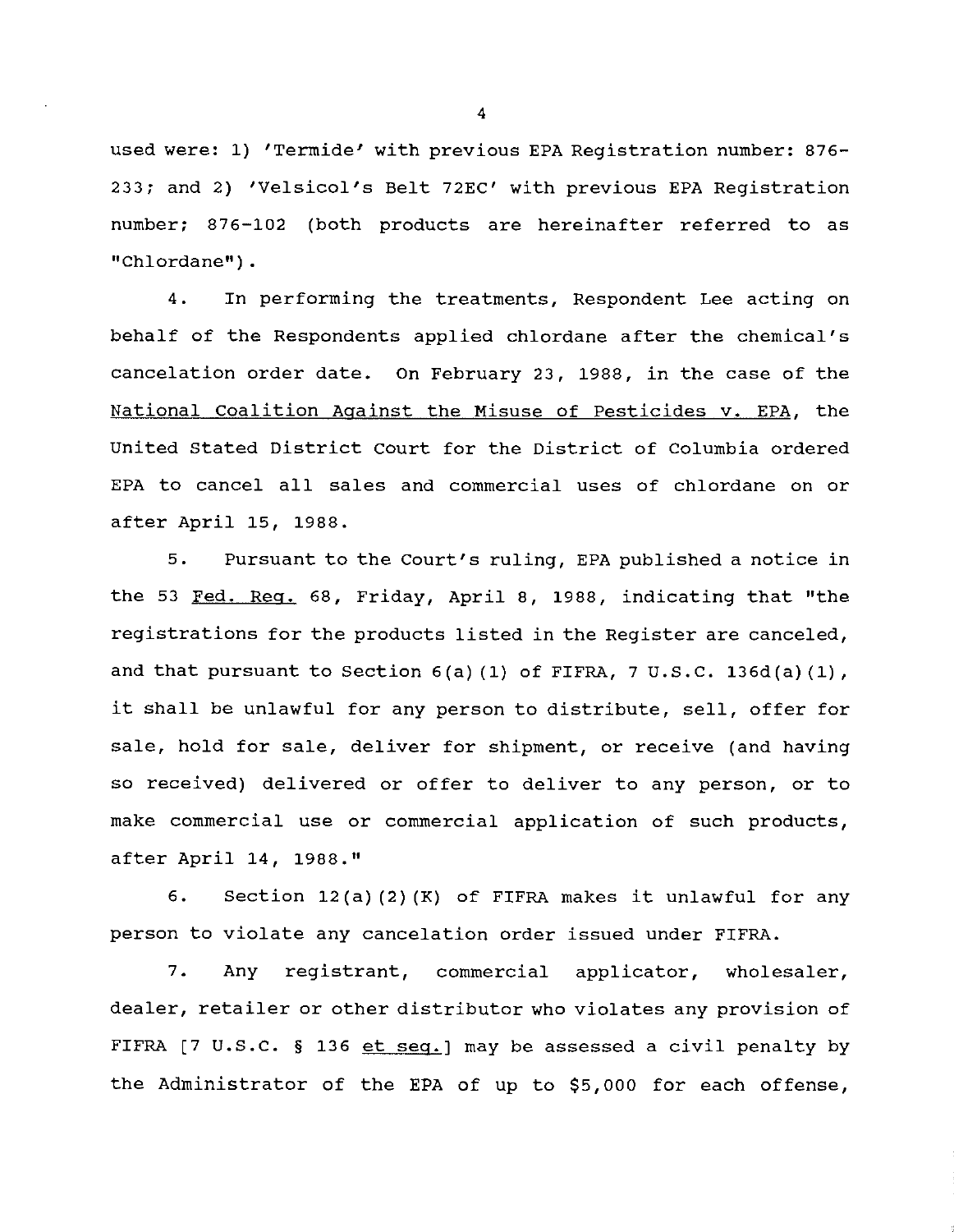used were: 1) 'Termide' with previous EPA Registration number: 876- 233; and 2) 'Velsicol's Belt 72EC' with previous EPA Registration number; 876-102 (both products are hereinafter referred to as "Chlordane").

4. In performing the treatments, Respondent Lee acting on behalf of the Respondents applied chlordane after the chemical's cancelation order date. On February 23, 1988, in the case of the National Coalition Against the Misuse of Pesticides v. EPA, the united Stated District Court for the District of Columbia ordered EPA to cancel all sales and commercial uses of chlordane on or after April 15, 1988.

5. Pursuant to the Court's ruling, EPA published a notice in the 53 Fed. Reg. 68, Friday, April 8, 1988, indicating that "the registrations for the products listed in the Register are canceled, and that pursuant to Section 6(a) (1) of FIFRA, 7 U.S.C. 136d(a) (1), it shall be unlawful for any person to distribute, sell, offer for sale, hold for sale, deliver for shipment, or receive (and having so received) delivered or offer to deliver to any person, or to make commercial use or commercial application of such products, after April 14, 1988."

6. Section 12(a) (2) {K) of FIFRA makes it unlawful for any person to violate any cancelation order issued under FIFRA.

7. Any registrant, commercial applicator, wholesaler, dealer, retailer or other distributor who violates any provision of FIFRA [7 U.S.C. § 136 et seq.] may be assessed a civil penalty by the Administrator of the EPA of up to \$5,000 for each offense,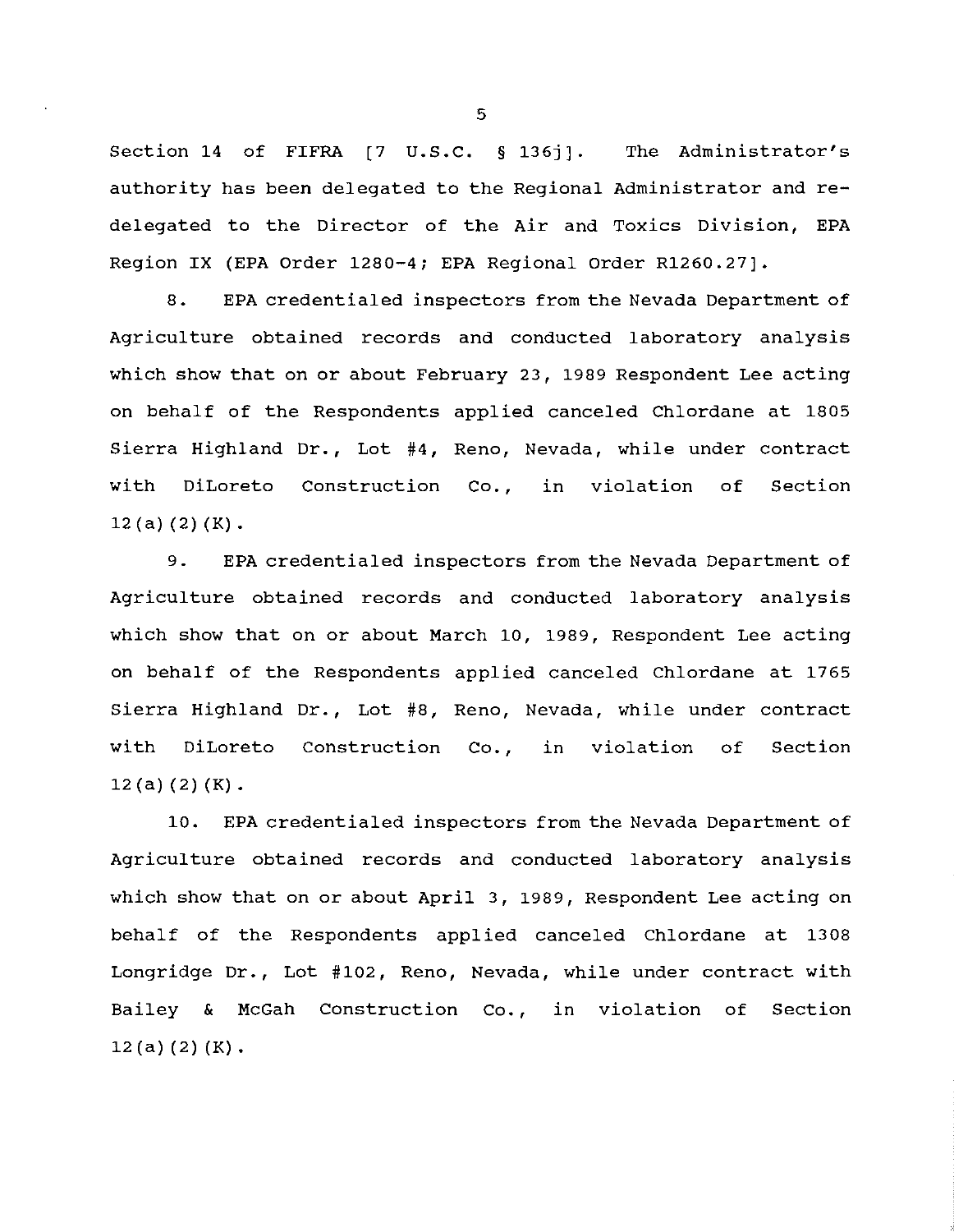Section 14 of FIFRA [7 U.S.C. § 136j]. The Administrator's authority has been delegated to the Regional Administrator and redelegated to the Director of the Air and Toxics Division, EPA Region IX (EPA Order 1280-4; EPA Regional Order R1260.27].

8. EPA credentialed inspectors from the Nevada Department of Agriculture obtained records and conducted laboratory analysis which show that on or about February 23, 1989 Respondent Lee acting on behalf of the Respondents applied canceled Chlordane at 1805 Sierra Highland Dr., Lot #4, Reno, Nevada, while under contract with DiLoreto Construction Co., 12 (a) (2) (K). in violation of Section

9. EPA credentialed inspectors from the Nevada Department of Agriculture obtained records and conducted laboratory analysis which show that on or about March 10, 1989, Respondent Lee acting on behalf of the Respondents applied canceled Chlordane at 1765 Sierra Highland Dr., Lot #8, Reno, Nevada, while under contract with DiLoreto Construction Co., in violation of Section  $12(a)(2)(K)$ .

10. EPA credentialed inspectors from the Nevada Department of Agriculture obtained records and conducted laboratory analysis which show that on or about April 3, 1989, Respondent Lee acting on behalf of the Respondents applied canceled Chlordane at 1308 Longridge Dr., Lot #102, Reno, Nevada, while under contract with Bailey & McGah Construction Co., in violation of Section  $12(a)(2)(K)$ .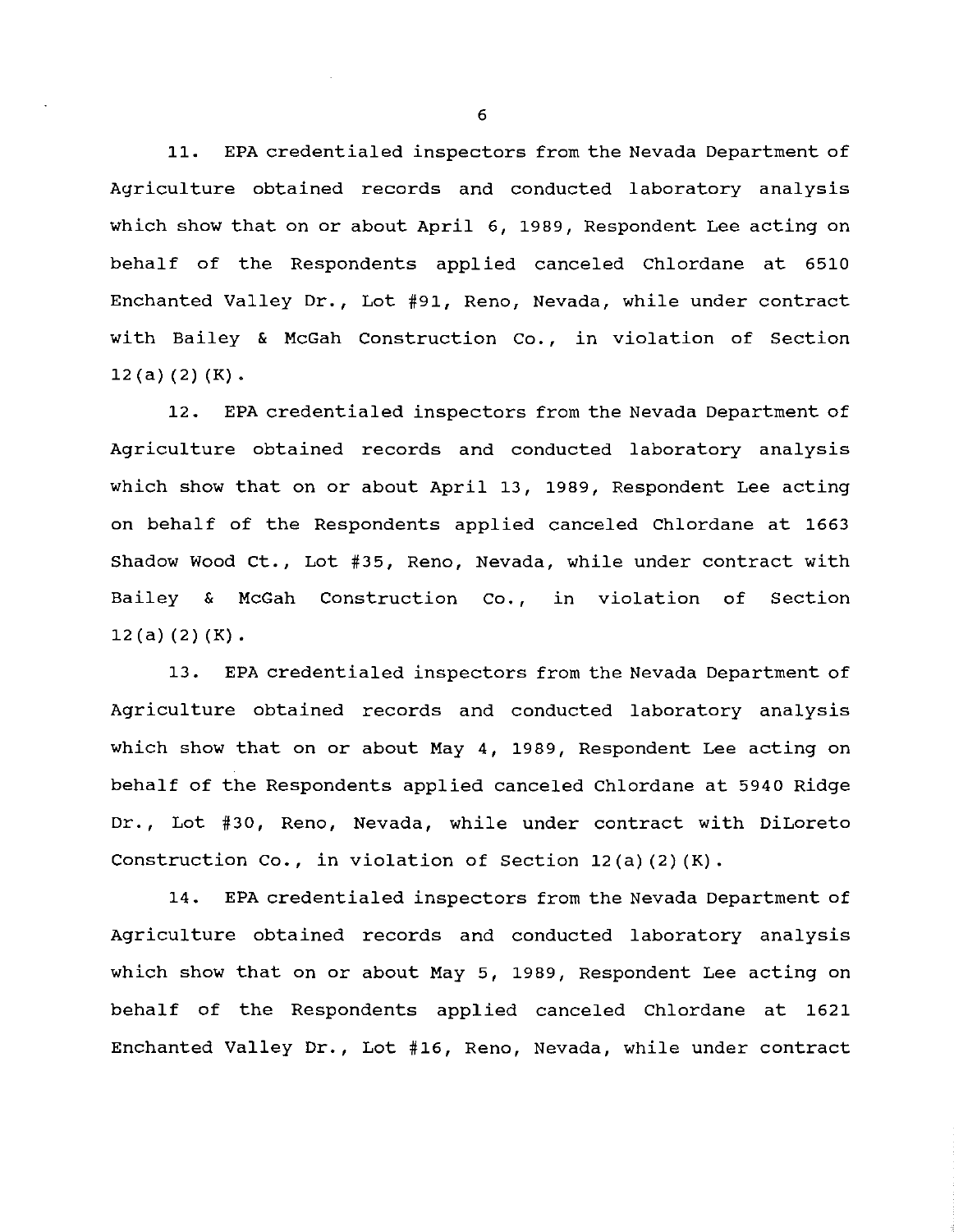11. EPA credentialed inspectors from the Nevada Department of Agriculture obtained records and conducted laboratory analysis which show that on or about April 6, 1989, Respondent Lee acting on behalf of the Respondents applied canceled Chlordane at 6510 Enchanted Valley Dr., Lot #91, Reno, Nevada, while under contract with Bailey & McGah Construction Co., in violation of Section  $12(a)(2)(K)$ .

12. EPA credentialed inspectors from the Nevada Department of Agriculture obtained records and conducted laboratory analysis which show that on or about April 13, 1989, Respondent Lee acting on behalf of the Respondents applied canceled Chlordane at 1663 Shadow Wood ct., Lot #35, Reno, Nevada, while under contract with Bailey & McGah Construction Co., in violation of Section  $12(a) (2) (K)$ .

13. EPA credentialed inspectors from the Nevada Department of Agriculture obtained records and conducted laboratory analysis which show that on or about May 4, 1989, Respondent Lee acting on behalf of the Respondents applied canceled Chlordane at 5940 Ridge Dr., Lot #30, Reno, Nevada, while under contract with DiLoreto Construction Co., in violation of Section 12(a) (2) (K).

14. EPA credentialed inspectors from the Nevada Department of Agriculture obtained records and conducted laboratory analysis which show that on or about May 5, 1989, Respondent Lee acting on behalf of the Respondents applied canceled Chlordane at 1621 Enchanted Valley Dr., Lot #16, Reno, Nevada, while under contract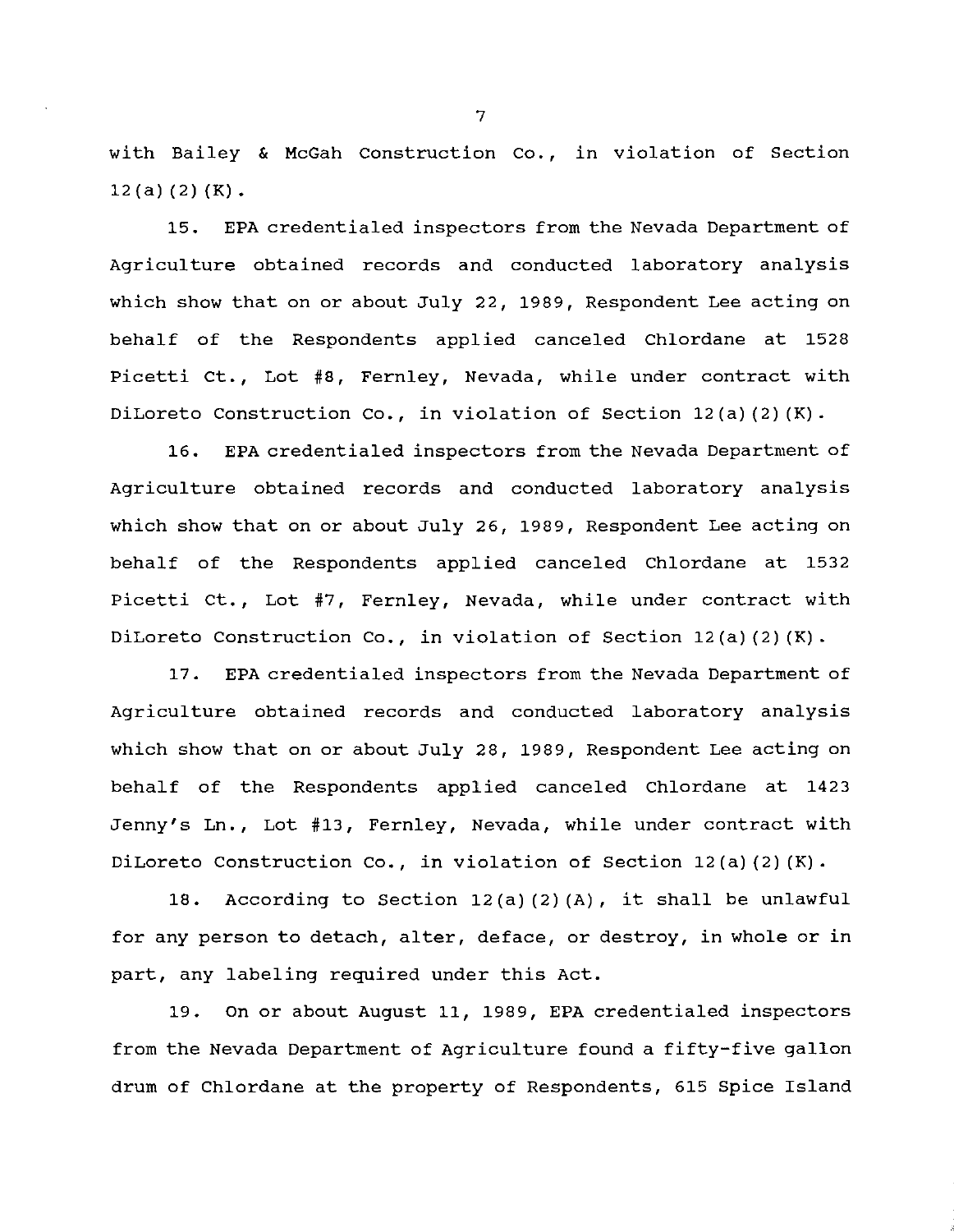with Bailey & McGah Construction Co., in violation of Section  $12(a)(2)(K)$ .

15. EPA credentialed inspectors from the Nevada Department of Agriculture obtained records and conducted laboratory analysis which show that on or about July 22, 1989, Respondent Lee acting on behalf of the Respondents applied canceled Chlordane at 1528 Picetti Ct., Lot #8, Fernley, Nevada, while under contract with DiLoreto Construction Co., in violation of Section 12(a)(2) (K).

16. EPA credentialed inspectors from the Nevada Department of Agriculture obtained records and conducted laboratory analysis which show that on or about July 26, 1989, Respondent Lee acting on behalf of the Respondents applied canceled Chlordane at 1532 Picetti Ct., Lot #7, Fernley, Nevada, while under contract with DiLoreto Construction Co., in violation of Section 12(a) (2) (K).

17. EPA credentialed inspectors from the Nevada Department of Agriculture obtained records and conducted laboratory analysis which show that on or about July 28, 1989, Respondent Lee acting on behalf of the Respondents applied canceled Chlordane at 1423 Jenny's Ln., Lot #13, Fernley, Nevada, while under contract with DiLoreto Construction Co., in violation of Section 12(a)(2) (K).

18. According to Section 12(a) (2) (A), it shall be unlawful for any person to detach, alter, deface, or destroy, in whole or in part, any labeling required under this Act.

19. On or about August 11, 1989, EPA credentialed inspectors from the Nevada Department of Agriculture found a fifty-five gallon drum of Chlordane at the property of Respondents, 615 Spice Island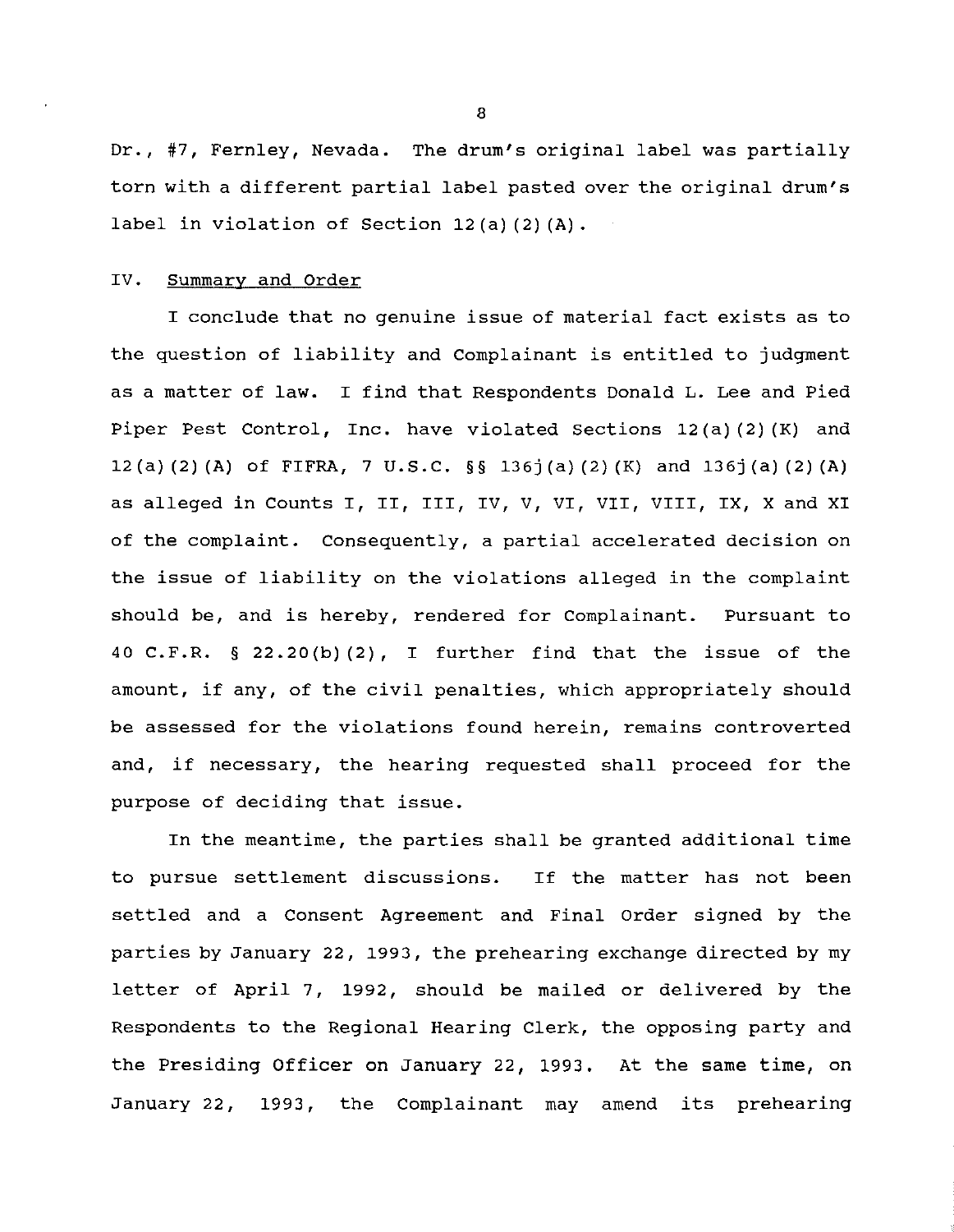Dr., #7, Fernley, Nevada. The drum's original label was partially torn with a different partial label pasted over the original drum's label in violation of Section 12(a) (2) (A).

# IV. Summary and Order

I conclude that no genuine issue of material fact exists as to the question of liability and Complainant is entitled to judgment as a matter of law. I find that Respondents Donald L. Lee and Pied Piper Pest Control, Inc. have violated Sections 12(a) (2) (K) and 12(a) (2) (A) of FIFRA, 7 U.S.C. §§ 136j (a) (2) (K) and 136j (a) (2) (A) as alleged in Counts I, II, III, IV, V, VI, VII, VIII, IX, X and XI of the complaint. Consequently, a partial accelerated decision on the issue of liability on the violations alleged in the complaint should be, and is hereby, rendered for Complainant. Pursuant to 40 C.F.R. § 22.20(b) (2), I further find that the issue of the amount, if any, of the civil penalties, which appropriately should be assessed for the violations found herein, remains controverted and, if necessary, the hearing requested shall proceed for the purpose of deciding that issue.

In the meantime, the parties shall be granted additional time to pursue settlement discussions. If the matter has not been settled and a Consent Agreement and Final order signed by the parties by January 22, 1993, the prehearing exchange directed by my letter of April 7, 1992, should be mailed or delivered by the Respondents to the Regional Hearing Clerk, the opposing party and the Presiding Officer on January 22, 1993. At the same time, on January 22, 1993, the Complainant may amend its prehearing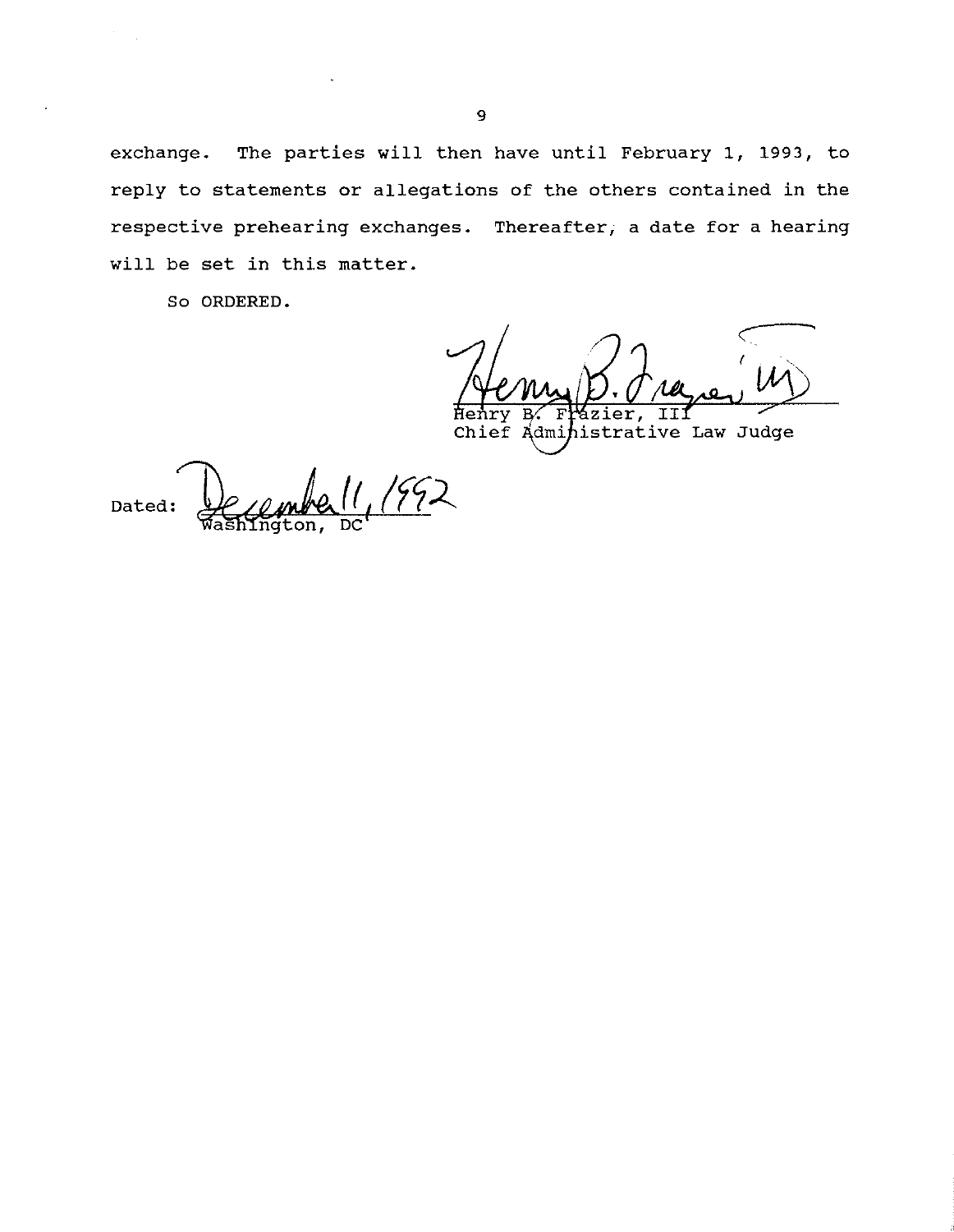exchange. The parties will then have until February 1, 1993, to reply to statements or allegations of the others contained in the respective prehearing exchanges. Thereafter; a date for a hearing will be set in this matter.

So ORDERED.

*-c-* ( ТΤ Henry er,

Chief Administrative Law Judge

Dated: Hellmhell, (112